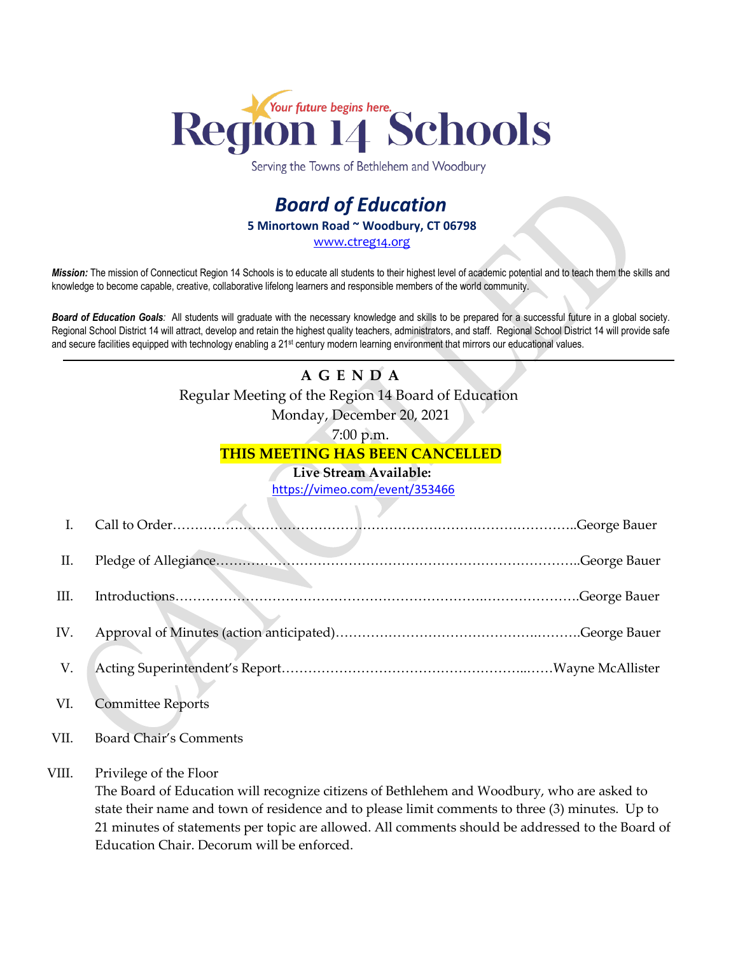

Serving the Towns of Bethlehem and Woodbury

## *Board of Education* **5 Minortown Road ~ Woodbury, CT 06798** [www.ctreg14.org](http://www.ctreg14.org/)

*Mission:* The mission of Connecticut Region 14 Schools is to educate all students to their highest level of academic potential and to teach them the skills and knowledge to become capable, creative, collaborative lifelong learners and responsible members of the world community.

*Board of Education Goals:* All students will graduate with the necessary knowledge and skills to be prepared for a successful future in a global society. Regional School District 14 will attract, develop and retain the highest quality teachers, administrators, and staff. Regional School District 14 will provide safe and secure facilities equipped with technology enabling a 21<sup>st</sup> century modern learning environment that mirrors our educational values.

## **A G E N D A** Regular Meeting of the Region 14 Board of Education Monday, December 20, 2021

7:00 p.m.

## **THIS MEETING HAS BEEN CANCELLED**

## **Live Stream Available:**

<https://vimeo.com/event/353466>

| I.   |                               |               |
|------|-------------------------------|---------------|
| П.   |                               |               |
| III. |                               | George Bauer. |
| IV.  |                               |               |
| V.   |                               |               |
| VI.  | <b>Committee Reports</b>      |               |
| VII. | <b>Board Chair's Comments</b> |               |

VIII. Privilege of the Floor

The Board of Education will recognize citizens of Bethlehem and Woodbury, who are asked to state their name and town of residence and to please limit comments to three (3) minutes. Up to 21 minutes of statements per topic are allowed. All comments should be addressed to the Board of Education Chair. Decorum will be enforced.